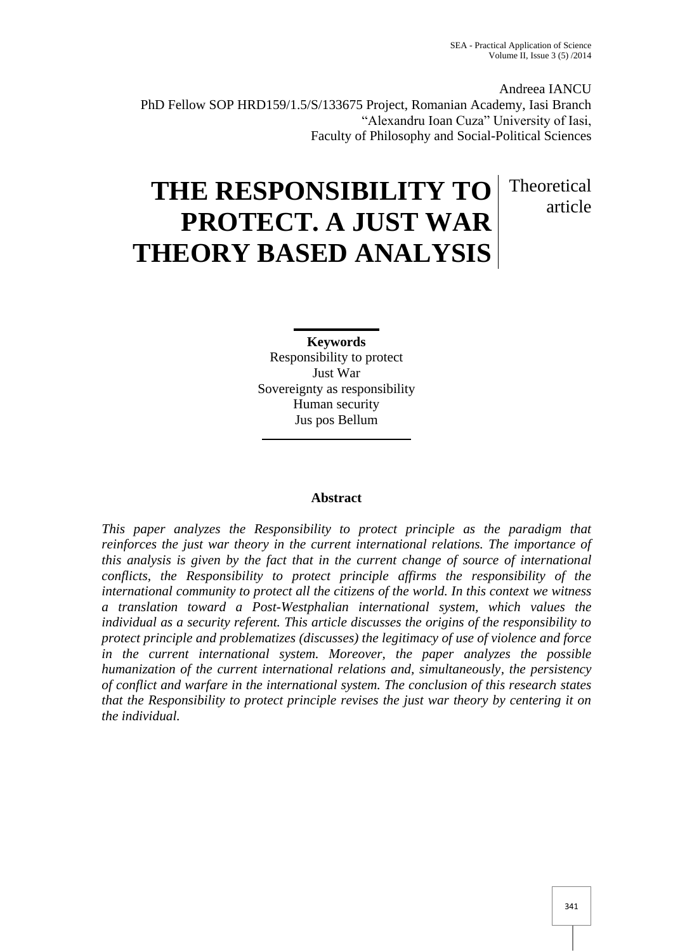**Theoretical** 

article

Andreea IANCU PhD Fellow SOP HRD159/1.5/S/133675 Project, Romanian Academy, Iasi Branch "Alexandru Ioan Cuza" University of Iasi, Faculty of Philosophy and Social-Political Sciences

# **THE RESPONSIBILITY TO PROTECT. A JUST WAR THEORY BASED ANALYSIS**

**Keywords** Responsibility to protect Just War Sovereignty as responsibility Human security Jus pos Bellum

# **Abstract**

*This paper analyzes the Responsibility to protect principle as the paradigm that reinforces the just war theory in the current international relations. The importance of this analysis is given by the fact that in the current change of source of international conflicts, the Responsibility to protect principle affirms the responsibility of the international community to protect all the citizens of the world. In this context we witness a translation toward a Post-Westphalian international system, which values the individual as a security referent. This article discusses the origins of the responsibility to protect principle and problematizes (discusses) the legitimacy of use of violence and force in the current international system. Moreover, the paper analyzes the possible humanization of the current international relations and, simultaneously, the persistency of conflict and warfare in the international system. The conclusion of this research states that the Responsibility to protect principle revises the just war theory by centering it on the individual.*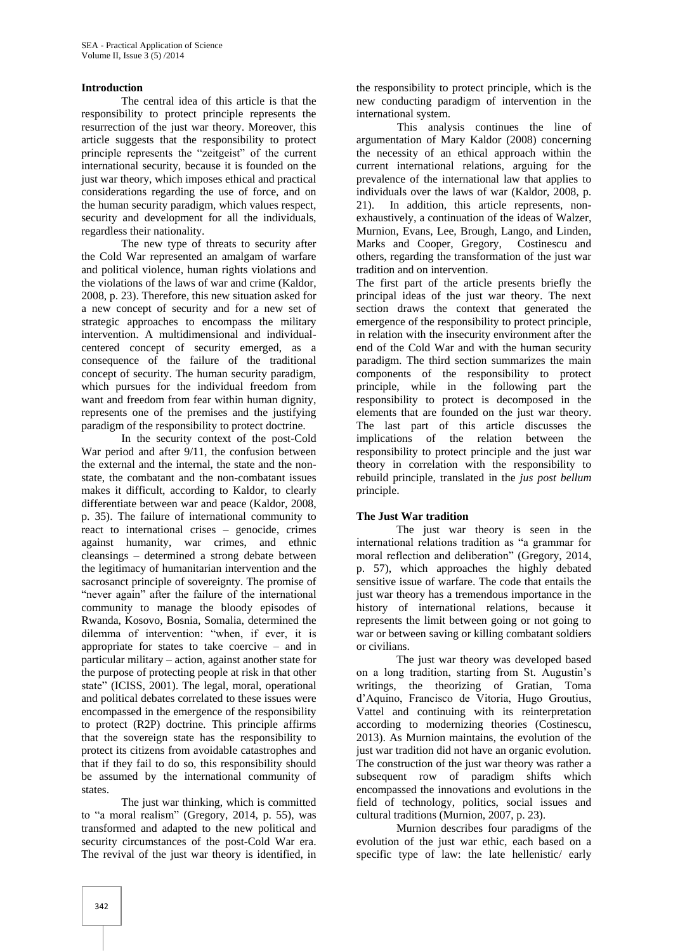## **Introduction**

The central idea of this article is that the responsibility to protect principle represents the resurrection of the just war theory. Moreover, this article suggests that the responsibility to protect principle represents the "zeitgeist" of the current international security, because it is founded on the just war theory, which imposes ethical and practical considerations regarding the use of force, and on the human security paradigm, which values respect, security and development for all the individuals, regardless their nationality.

The new type of threats to security after the Cold War represented an amalgam of warfare and political violence, human rights violations and the violations of the laws of war and crime (Kaldor, 2008, p. 23). Therefore, this new situation asked for a new concept of security and for a new set of strategic approaches to encompass the military intervention. A multidimensional and individualcentered concept of security emerged, as a consequence of the failure of the traditional concept of security. The human security paradigm, which pursues for the individual freedom from want and freedom from fear within human dignity, represents one of the premises and the justifying paradigm of the responsibility to protect doctrine.

In the security context of the post-Cold War period and after 9/11, the confusion between the external and the internal, the state and the nonstate, the combatant and the non-combatant issues makes it difficult, according to Kaldor, to clearly differentiate between war and peace (Kaldor, 2008, p. 35). The failure of international community to react to international crises – genocide, crimes against humanity, war crimes, and ethnic cleansings – determined a strong debate between the legitimacy of humanitarian intervention and the sacrosanct principle of sovereignty. The promise of "never again" after the failure of the international community to manage the bloody episodes of Rwanda, Kosovo, Bosnia, Somalia, determined the dilemma of intervention: "when, if ever, it is appropriate for states to take coercive – and in particular military – action, against another state for the purpose of protecting people at risk in that other state" (ICISS, 2001). The legal, moral, operational and political debates correlated to these issues were encompassed in the emergence of the responsibility to protect (R2P) doctrine. This principle affirms that the sovereign state has the responsibility to protect its citizens from avoidable catastrophes and that if they fail to do so, this responsibility should be assumed by the international community of states.

The just war thinking, which is committed to "a moral realism" (Gregory, 2014, p. 55), was transformed and adapted to the new political and security circumstances of the post-Cold War era. The revival of the just war theory is identified, in

the responsibility to protect principle, which is the new conducting paradigm of intervention in the international system.

This analysis continues the line of argumentation of Mary Kaldor (2008) concerning the necessity of an ethical approach within the current international relations, arguing for the prevalence of the international law that applies to individuals over the laws of war (Kaldor, 2008, p. 21). In addition, this article represents, nonexhaustively, a continuation of the ideas of Walzer, Murnion, Evans, Lee, Brough, Lango, and Linden, Marks and Cooper, Gregory, Costinescu and others, regarding the transformation of the just war tradition and on intervention.

The first part of the article presents briefly the principal ideas of the just war theory. The next section draws the context that generated the emergence of the responsibility to protect principle, in relation with the insecurity environment after the end of the Cold War and with the human security paradigm. The third section summarizes the main components of the responsibility to protect principle, while in the following part the responsibility to protect is decomposed in the elements that are founded on the just war theory. The last part of this article discusses the implications of the relation between the responsibility to protect principle and the just war theory in correlation with the responsibility to rebuild principle, translated in the *jus post bellum* principle.

## **The Just War tradition**

The just war theory is seen in the international relations tradition as "a grammar for moral reflection and deliberation" (Gregory, 2014, p. 57), which approaches the highly debated sensitive issue of warfare. The code that entails the just war theory has a tremendous importance in the history of international relations, because it represents the limit between going or not going to war or between saving or killing combatant soldiers or civilians.

The just war theory was developed based on a long tradition, starting from St. Augustin's writings, the theorizing of Gratian, Toma d'Aquino, Francisco de Vitoria, Hugo Groutius, Vattel and continuing with its reinterpretation according to modernizing theories (Costinescu, 2013). As Murnion maintains, the evolution of the just war tradition did not have an organic evolution. The construction of the just war theory was rather a subsequent row of paradigm shifts which encompassed the innovations and evolutions in the field of technology, politics, social issues and cultural traditions (Murnion, 2007, p. 23).

Murnion describes four paradigms of the evolution of the just war ethic, each based on a specific type of law: the late hellenistic/ early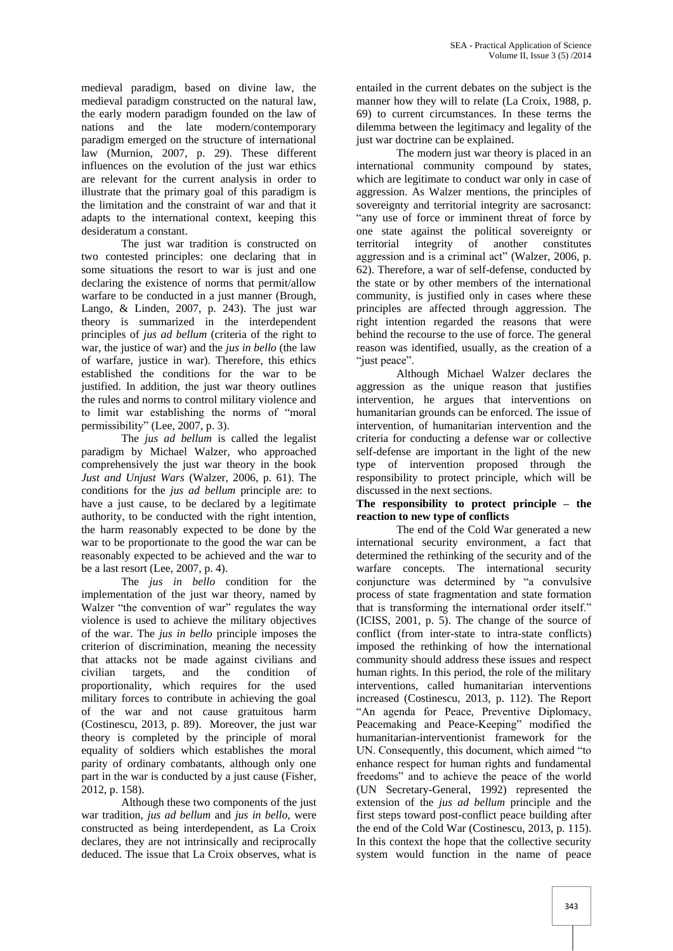medieval paradigm, based on divine law, the medieval paradigm constructed on the natural law, the early modern paradigm founded on the law of nations and the late modern/contemporary paradigm emerged on the structure of international law (Murnion, 2007, p. 29). These different influences on the evolution of the just war ethics are relevant for the current analysis in order to illustrate that the primary goal of this paradigm is the limitation and the constraint of war and that it adapts to the international context, keeping this desideratum a constant.

The just war tradition is constructed on two contested principles: one declaring that in some situations the resort to war is just and one declaring the existence of norms that permit/allow warfare to be conducted in a just manner (Brough, Lango, & Linden, 2007, p. 243). The just war theory is summarized in the interdependent principles of *jus ad bellum* (criteria of the right to war, the justice of war) and the *jus in bello* (the law of warfare, justice in war). Therefore, this ethics established the conditions for the war to be justified. In addition, the just war theory outlines the rules and norms to control military violence and to limit war establishing the norms of "moral permissibility" (Lee, 2007, p. 3).

The *jus ad bellum* is called the legalist paradigm by Michael Walzer, who approached comprehensively the just war theory in the book *Just and Unjust Wars* (Walzer, 2006, p. 61). The conditions for the *jus ad bellum* principle are: to have a just cause, to be declared by a legitimate authority, to be conducted with the right intention, the harm reasonably expected to be done by the war to be proportionate to the good the war can be reasonably expected to be achieved and the war to be a last resort (Lee, 2007, p. 4).

The *jus in bello* condition for the implementation of the just war theory, named by Walzer "the convention of war" regulates the way violence is used to achieve the military objectives of the war. The *jus in bello* principle imposes the criterion of discrimination, meaning the necessity that attacks not be made against civilians and civilian targets, and the condition of proportionality, which requires for the used military forces to contribute in achieving the goal of the war and not cause gratuitous harm (Costinescu, 2013, p. 89). Moreover, the just war theory is completed by the principle of moral equality of soldiers which establishes the moral parity of ordinary combatants, although only one part in the war is conducted by a just cause (Fisher, 2012, p. 158).

Although these two components of the just war tradition, *jus ad bellum* and *jus in bello*, were constructed as being interdependent, as La Croix declares, they are not intrinsically and reciprocally deduced. The issue that La Croix observes, what is

entailed in the current debates on the subject is the manner how they will to relate (La Croix, 1988, p. 69) to current circumstances. In these terms the dilemma between the legitimacy and legality of the just war doctrine can be explained.

The modern just war theory is placed in an international community compound by states, which are legitimate to conduct war only in case of aggression. As Walzer mentions, the principles of sovereignty and territorial integrity are sacrosanct: "any use of force or imminent threat of force by one state against the political sovereignty or territorial integrity of another constitutes aggression and is a criminal act" (Walzer, 2006, p. 62). Therefore, a war of self-defense, conducted by the state or by other members of the international community, is justified only in cases where these principles are affected through aggression. The right intention regarded the reasons that were behind the recourse to the use of force. The general reason was identified, usually, as the creation of a "just peace".

Although Michael Walzer declares the aggression as the unique reason that justifies intervention, he argues that interventions on humanitarian grounds can be enforced. The issue of intervention, of humanitarian intervention and the criteria for conducting a defense war or collective self-defense are important in the light of the new type of intervention proposed through the responsibility to protect principle, which will be discussed in the next sections.

**The responsibility to protect principle – the reaction to new type of conflicts**

The end of the Cold War generated a new international security environment, a fact that determined the rethinking of the security and of the warfare concepts. The international security conjuncture was determined by "a convulsive process of state fragmentation and state formation that is transforming the international order itself." (ICISS, 2001, p. 5). The change of the source of conflict (from inter-state to intra-state conflicts) imposed the rethinking of how the international community should address these issues and respect human rights. In this period, the role of the military interventions, called humanitarian interventions increased (Costinescu, 2013, p. 112). The Report "An agenda for Peace, Preventive Diplomacy, Peacemaking and Peace-Keeping" modified the humanitarian-interventionist framework for the UN. Consequently, this document, which aimed "to enhance respect for human rights and fundamental freedoms" and to achieve the peace of the world (UN Secretary-General, 1992) represented the extension of the *jus ad bellum* principle and the first steps toward post-conflict peace building after the end of the Cold War (Costinescu, 2013, p. 115). In this context the hope that the collective security system would function in the name of peace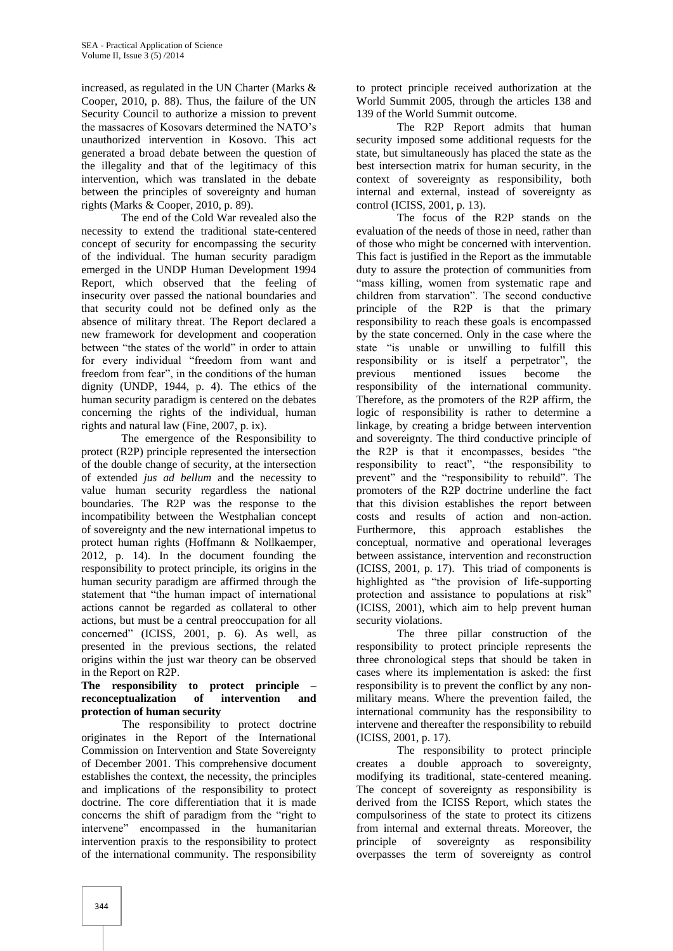increased, as regulated in the UN Charter (Marks & Cooper, 2010, p. 88). Thus, the failure of the UN Security Council to authorize a mission to prevent the massacres of Kosovars determined the NATO's unauthorized intervention in Kosovo. This act generated a broad debate between the question of the illegality and that of the legitimacy of this intervention, which was translated in the debate between the principles of sovereignty and human rights (Marks & Cooper, 2010, p. 89).

The end of the Cold War revealed also the necessity to extend the traditional state-centered concept of security for encompassing the security of the individual. The human security paradigm emerged in the UNDP Human Development 1994 Report, which observed that the feeling of insecurity over passed the national boundaries and that security could not be defined only as the absence of military threat. The Report declared a new framework for development and cooperation between "the states of the world" in order to attain for every individual "freedom from want and freedom from fear", in the conditions of the human dignity (UNDP, 1944, p. 4). The ethics of the human security paradigm is centered on the debates concerning the rights of the individual, human rights and natural law (Fine, 2007, p. ix).

The emergence of the Responsibility to protect (R2P) principle represented the intersection of the double change of security, at the intersection of extended *jus ad bellum* and the necessity to value human security regardless the national boundaries. The R2P was the response to the incompatibility between the Westphalian concept of sovereignty and the new international impetus to protect human rights (Hoffmann & Nollkaemper, 2012, p. 14). In the document founding the responsibility to protect principle, its origins in the human security paradigm are affirmed through the statement that "the human impact of international actions cannot be regarded as collateral to other actions, but must be a central preoccupation for all concerned" (ICISS, 2001, p. 6). As well, as presented in the previous sections, the related origins within the just war theory can be observed in the Report on R2P.

# **The responsibility to protect principle – reconceptualization of intervention and protection of human security**

The responsibility to protect doctrine originates in the Report of the International Commission on Intervention and State Sovereignty of December 2001. This comprehensive document establishes the context, the necessity, the principles and implications of the responsibility to protect doctrine. The core differentiation that it is made concerns the shift of paradigm from the "right to intervene" encompassed in the humanitarian intervention praxis to the responsibility to protect of the international community. The responsibility

to protect principle received authorization at the World Summit 2005, through the articles 138 and 139 of the World Summit outcome.

The R2P Report admits that human security imposed some additional requests for the state, but simultaneously has placed the state as the best intersection matrix for human security, in the context of sovereignty as responsibility, both internal and external, instead of sovereignty as control (ICISS, 2001, p. 13).

The focus of the R2P stands on the evaluation of the needs of those in need, rather than of those who might be concerned with intervention. This fact is justified in the Report as the immutable duty to assure the protection of communities from "mass killing, women from systematic rape and children from starvation". The second conductive principle of the R2P is that the primary responsibility to reach these goals is encompassed by the state concerned. Only in the case where the state "is unable or unwilling to fulfill this responsibility or is itself a perpetrator", the previous mentioned issues become the responsibility of the international community. Therefore, as the promoters of the R2P affirm, the logic of responsibility is rather to determine a linkage, by creating a bridge between intervention and sovereignty. The third conductive principle of the R2P is that it encompasses, besides "the responsibility to react", "the responsibility to prevent" and the "responsibility to rebuild". The promoters of the R2P doctrine underline the fact that this division establishes the report between costs and results of action and non-action. Furthermore, this approach establishes the conceptual, normative and operational leverages between assistance, intervention and reconstruction (ICISS, 2001, p. 17). This triad of components is highlighted as "the provision of life-supporting protection and assistance to populations at risk" (ICISS, 2001), which aim to help prevent human security violations.

The three pillar construction of the responsibility to protect principle represents the three chronological steps that should be taken in cases where its implementation is asked: the first responsibility is to prevent the conflict by any nonmilitary means. Where the prevention failed, the international community has the responsibility to intervene and thereafter the responsibility to rebuild (ICISS, 2001, p. 17).

The responsibility to protect principle creates a double approach to sovereignty, modifying its traditional, state-centered meaning. The concept of sovereignty as responsibility is derived from the ICISS Report, which states the compulsoriness of the state to protect its citizens from internal and external threats. Moreover, the principle of sovereignty as responsibility overpasses the term of sovereignty as control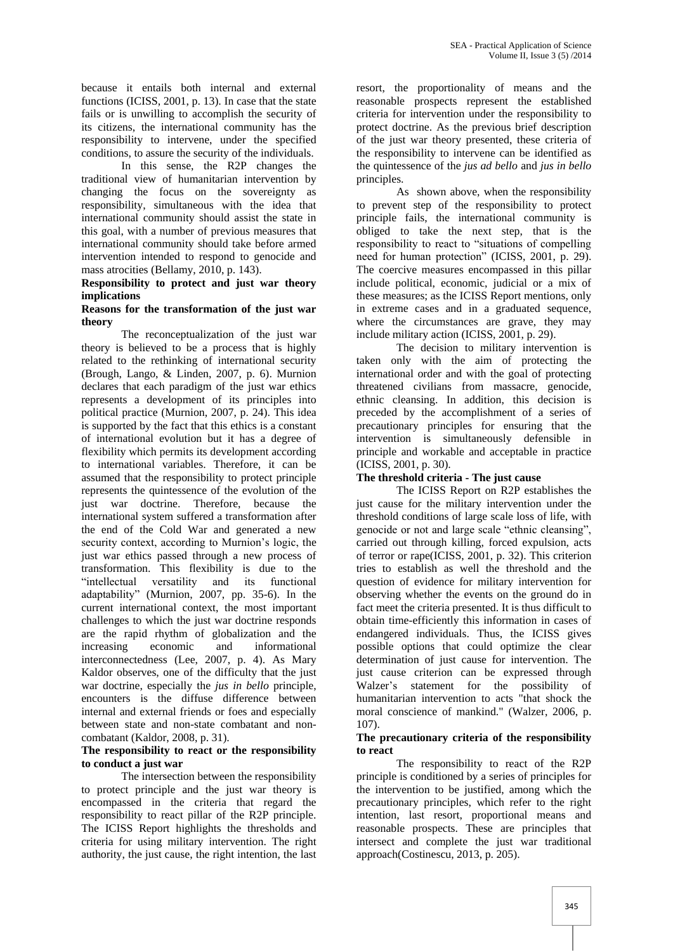because it entails both internal and external functions (ICISS, 2001, p. 13). In case that the state fails or is unwilling to accomplish the security of its citizens, the international community has the responsibility to intervene, under the specified conditions, to assure the security of the individuals.

In this sense, the R2P changes the traditional view of humanitarian intervention by changing the focus on the sovereignty as responsibility, simultaneous with the idea that international community should assist the state in this goal, with a number of previous measures that international community should take before armed intervention intended to respond to genocide and mass atrocities (Bellamy, 2010, p. 143).

# **Responsibility to protect and just war theory implications**

## **Reasons for the transformation of the just war theory**

The reconceptualization of the just war theory is believed to be a process that is highly related to the rethinking of international security (Brough, Lango, & Linden, 2007, p. 6). Murnion declares that each paradigm of the just war ethics represents a development of its principles into political practice (Murnion, 2007, p. 24). This idea is supported by the fact that this ethics is a constant of international evolution but it has a degree of flexibility which permits its development according to international variables. Therefore, it can be assumed that the responsibility to protect principle represents the quintessence of the evolution of the just war doctrine. Therefore, because the international system suffered a transformation after the end of the Cold War and generated a new security context, according to Murnion's logic, the just war ethics passed through a new process of transformation. This flexibility is due to the "intellectual versatility and its functional adaptability" (Murnion, 2007, pp. 35-6). In the current international context, the most important challenges to which the just war doctrine responds are the rapid rhythm of globalization and the increasing economic and informational interconnectedness (Lee, 2007, p. 4). As Mary Kaldor observes, one of the difficulty that the just war doctrine, especially the *jus in bello* principle, encounters is the diffuse difference between internal and external friends or foes and especially between state and non-state combatant and noncombatant (Kaldor, 2008, p. 31).

## **The responsibility to react or the responsibility to conduct a just war**

The intersection between the responsibility to protect principle and the just war theory is encompassed in the criteria that regard the responsibility to react pillar of the R2P principle. The ICISS Report highlights the thresholds and criteria for using military intervention. The right authority, the just cause, the right intention, the last

resort, the proportionality of means and the reasonable prospects represent the established criteria for intervention under the responsibility to protect doctrine. As the previous brief description of the just war theory presented, these criteria of the responsibility to intervene can be identified as the quintessence of the *jus ad bello* and *jus in bello* principles.

As shown above, when the responsibility to prevent step of the responsibility to protect principle fails, the international community is obliged to take the next step, that is the responsibility to react to "situations of compelling need for human protection" (ICISS, 2001, p. 29). The coercive measures encompassed in this pillar include political, economic, judicial or a mix of these measures; as the ICISS Report mentions, only in extreme cases and in a graduated sequence, where the circumstances are grave, they may include military action (ICISS, 2001, p. 29).

The decision to military intervention is taken only with the aim of protecting the international order and with the goal of protecting threatened civilians from massacre, genocide, ethnic cleansing. In addition, this decision is preceded by the accomplishment of a series of precautionary principles for ensuring that the intervention is simultaneously defensible in principle and workable and acceptable in practice (ICISS, 2001, p. 30).

# **The threshold criteria - The just cause**

The ICISS Report on R2P establishes the just cause for the military intervention under the threshold conditions of large scale loss of life, with genocide or not and large scale "ethnic cleansing", carried out through killing, forced expulsion, acts of terror or rape(ICISS, 2001, p. 32). This criterion tries to establish as well the threshold and the question of evidence for military intervention for observing whether the events on the ground do in fact meet the criteria presented. It is thus difficult to obtain time-efficiently this information in cases of endangered individuals. Thus, the ICISS gives possible options that could optimize the clear determination of just cause for intervention. The just cause criterion can be expressed through Walzer's statement for the possibility of humanitarian intervention to acts "that shock the moral conscience of mankind." (Walzer, 2006, p. 107).

# **The precautionary criteria of the responsibility to react**

The responsibility to react of the R2P principle is conditioned by a series of principles for the intervention to be justified, among which the precautionary principles, which refer to the right intention, last resort, proportional means and reasonable prospects. These are principles that intersect and complete the just war traditional approach(Costinescu, 2013, p. 205).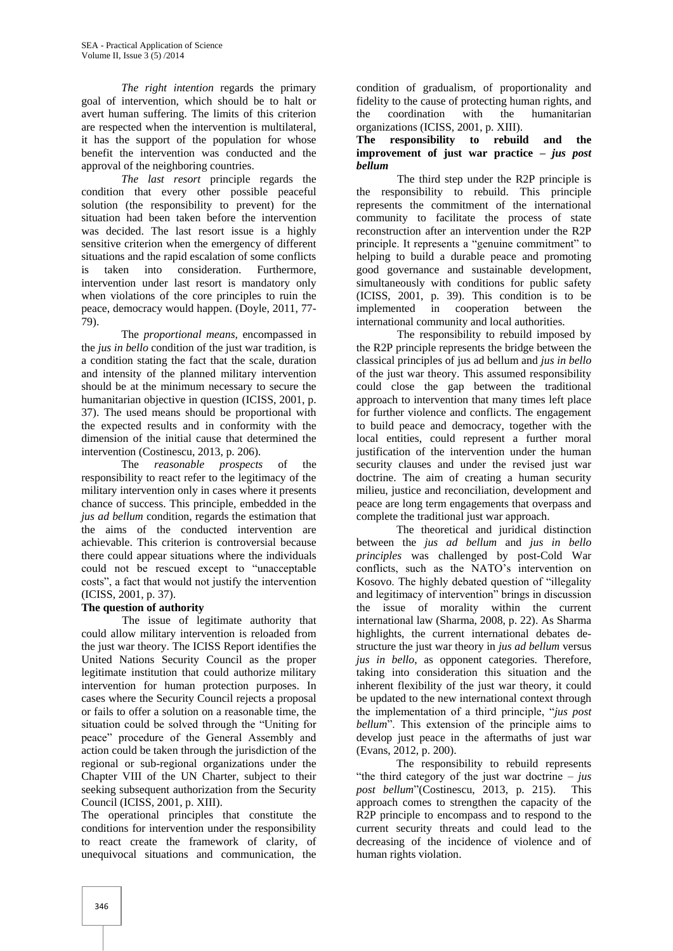*The right intention* regards the primary goal of intervention, which should be to halt or avert human suffering. The limits of this criterion are respected when the intervention is multilateral, it has the support of the population for whose benefit the intervention was conducted and the approval of the neighboring countries.

*The last resort* principle regards the condition that every other possible peaceful solution (the responsibility to prevent) for the situation had been taken before the intervention was decided. The last resort issue is a highly sensitive criterion when the emergency of different situations and the rapid escalation of some conflicts is taken into consideration. Furthermore, intervention under last resort is mandatory only when violations of the core principles to ruin the peace, democracy would happen. (Doyle, 2011, 77- 79).

The *proportional means,* encompassed in the *jus in bello* condition of the just war tradition, is a condition stating the fact that the scale, duration and intensity of the planned military intervention should be at the minimum necessary to secure the humanitarian objective in question (ICISS, 2001, p. 37). The used means should be proportional with the expected results and in conformity with the dimension of the initial cause that determined the intervention (Costinescu, 2013, p. 206).

The *reasonable prospects* of the responsibility to react refer to the legitimacy of the military intervention only in cases where it presents chance of success. This principle, embedded in the *jus ad bellum* condition, regards the estimation that the aims of the conducted intervention are achievable. This criterion is controversial because there could appear situations where the individuals could not be rescued except to "unacceptable costs", a fact that would not justify the intervention (ICISS, 2001, p. 37).

# **The question of authority**

The issue of legitimate authority that could allow military intervention is reloaded from the just war theory. The ICISS Report identifies the United Nations Security Council as the proper legitimate institution that could authorize military intervention for human protection purposes. In cases where the Security Council rejects a proposal or fails to offer a solution on a reasonable time, the situation could be solved through the "Uniting for peace" procedure of the General Assembly and action could be taken through the jurisdiction of the regional or sub-regional organizations under the Chapter VIII of the UN Charter, subject to their seeking subsequent authorization from the Security Council (ICISS, 2001, p. XIII).

The operational principles that constitute the conditions for intervention under the responsibility to react create the framework of clarity, of unequivocal situations and communication, the

condition of gradualism, of proportionality and fidelity to the cause of protecting human rights, and the coordination with the humanitarian organizations (ICISS, 2001, p. XIII).

#### **The responsibility to rebuild and the improvement of just war practice –** *jus post bellum*

The third step under the R2P principle is the responsibility to rebuild. This principle represents the commitment of the international community to facilitate the process of state reconstruction after an intervention under the R2P principle. It represents a "genuine commitment" to helping to build a durable peace and promoting good governance and sustainable development, simultaneously with conditions for public safety (ICISS, 2001, p. 39). This condition is to be implemented in cooperation between the international community and local authorities.

The responsibility to rebuild imposed by the R2P principle represents the bridge between the classical principles of jus ad bellum and *jus in bello* of the just war theory. This assumed responsibility could close the gap between the traditional approach to intervention that many times left place for further violence and conflicts. The engagement to build peace and democracy, together with the local entities, could represent a further moral justification of the intervention under the human security clauses and under the revised just war doctrine. The aim of creating a human security milieu, justice and reconciliation, development and peace are long term engagements that overpass and complete the traditional just war approach.

The theoretical and juridical distinction between the *jus ad bellum* and *jus in bello principles* was challenged by post-Cold War conflicts, such as the NATO's intervention on Kosovo. The highly debated question of "illegality and legitimacy of intervention" brings in discussion the issue of morality within the current international law (Sharma, 2008, p. 22). As Sharma highlights, the current international debates destructure the just war theory in *jus ad bellum* versus *jus in bello*, as opponent categories. Therefore, taking into consideration this situation and the inherent flexibility of the just war theory, it could be updated to the new international context through the implementation of a third principle, "*jus post bellum*". This extension of the principle aims to develop just peace in the aftermaths of just war (Evans, 2012, p. 200).

The responsibility to rebuild represents "the third category of the just war doctrine – *jus post bellum*"(Costinescu, 2013, p. 215). This approach comes to strengthen the capacity of the R2P principle to encompass and to respond to the current security threats and could lead to the decreasing of the incidence of violence and of human rights violation.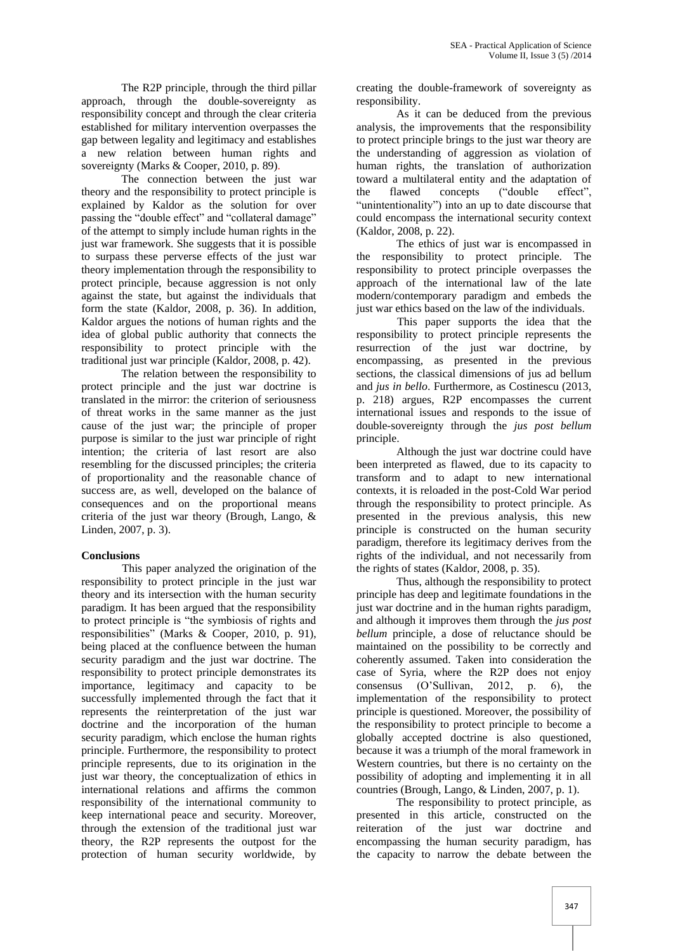The R2P principle, through the third pillar approach, through the double-sovereignty as responsibility concept and through the clear criteria established for military intervention overpasses the gap between legality and legitimacy and establishes a new relation between human rights and sovereignty (Marks & Cooper, 2010, p. 89).

The connection between the just war theory and the responsibility to protect principle is explained by Kaldor as the solution for over passing the "double effect" and "collateral damage" of the attempt to simply include human rights in the just war framework. She suggests that it is possible to surpass these perverse effects of the just war theory implementation through the responsibility to protect principle, because aggression is not only against the state, but against the individuals that form the state (Kaldor, 2008, p. 36). In addition, Kaldor argues the notions of human rights and the idea of global public authority that connects the responsibility to protect principle with the traditional just war principle (Kaldor, 2008, p. 42).

The relation between the responsibility to protect principle and the just war doctrine is translated in the mirror: the criterion of seriousness of threat works in the same manner as the just cause of the just war; the principle of proper purpose is similar to the just war principle of right intention; the criteria of last resort are also resembling for the discussed principles; the criteria of proportionality and the reasonable chance of success are, as well, developed on the balance of consequences and on the proportional means criteria of the just war theory (Brough, Lango, & Linden, 2007, p. 3).

# **Conclusions**

This paper analyzed the origination of the responsibility to protect principle in the just war theory and its intersection with the human security paradigm. It has been argued that the responsibility to protect principle is "the symbiosis of rights and responsibilities" (Marks & Cooper, 2010, p. 91), being placed at the confluence between the human security paradigm and the just war doctrine. The responsibility to protect principle demonstrates its importance, legitimacy and capacity to be successfully implemented through the fact that it represents the reinterpretation of the just war doctrine and the incorporation of the human security paradigm, which enclose the human rights principle. Furthermore, the responsibility to protect principle represents, due to its origination in the just war theory, the conceptualization of ethics in international relations and affirms the common responsibility of the international community to keep international peace and security. Moreover, through the extension of the traditional just war theory, the R2P represents the outpost for the protection of human security worldwide, by creating the double-framework of sovereignty as responsibility.

As it can be deduced from the previous analysis, the improvements that the responsibility to protect principle brings to the just war theory are the understanding of aggression as violation of human rights, the translation of authorization toward a multilateral entity and the adaptation of the flawed concepts ("double effect", "unintentionality") into an up to date discourse that could encompass the international security context (Kaldor, 2008, p. 22).

The ethics of just war is encompassed in the responsibility to protect principle. The responsibility to protect principle overpasses the approach of the international law of the late modern/contemporary paradigm and embeds the just war ethics based on the law of the individuals.

This paper supports the idea that the responsibility to protect principle represents the resurrection of the just war doctrine, by encompassing, as presented in the previous sections, the classical dimensions of jus ad bellum and *jus in bello*. Furthermore, as Costinescu (2013, p. 218) argues, R2P encompasses the current international issues and responds to the issue of double-sovereignty through the *jus post bellum* principle.

Although the just war doctrine could have been interpreted as flawed, due to its capacity to transform and to adapt to new international contexts, it is reloaded in the post-Cold War period through the responsibility to protect principle. As presented in the previous analysis, this new principle is constructed on the human security paradigm, therefore its legitimacy derives from the rights of the individual, and not necessarily from the rights of states (Kaldor, 2008, p. 35).

Thus, although the responsibility to protect principle has deep and legitimate foundations in the just war doctrine and in the human rights paradigm, and although it improves them through the *jus post bellum* principle, a dose of reluctance should be maintained on the possibility to be correctly and coherently assumed. Taken into consideration the case of Syria, where the R2P does not enjoy consensus (O'Sullivan, 2012, p. 6), the implementation of the responsibility to protect principle is questioned. Moreover, the possibility of the responsibility to protect principle to become a globally accepted doctrine is also questioned, because it was a triumph of the moral framework in Western countries, but there is no certainty on the possibility of adopting and implementing it in all countries (Brough, Lango, & Linden, 2007, p. 1).

The responsibility to protect principle, as presented in this article, constructed on the reiteration of the just war doctrine and encompassing the human security paradigm, has the capacity to narrow the debate between the